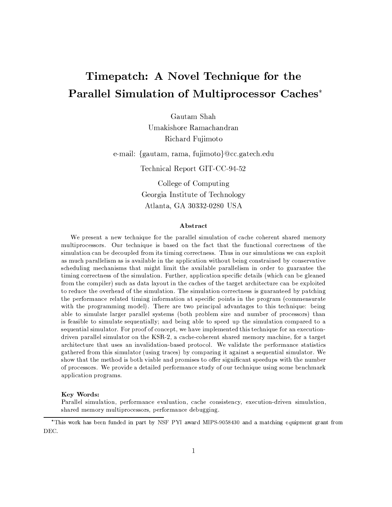# Timepatch: A Novel Technique for the **Parallel Simulation of Multiprocessor Caches\***

Gautam Shah Umakishore Ramachandran Richard Fujimoto

e-mail: {gautam, rama, fujimoto}@cc.gatech.edu

Technical Report GIT-CC-94-52

College of Computing Georgia Institute of Technology Atlanta, GA 30332-0280 USA

## Abstract

We present a new technique for the parallel simulation of cache coherent shared memory multiprocessors. Our technique is based on the fact that the functional correctness of the simulation can be decoupled from its timing correctness. Thus in our simulations we can exploit as much parallelism as is available in the application without being constrained by conservative scheduling mechanisms that might limit the available parallelism in order to guarantee the timing correctness of the simulation. Further, application specific details (which can be gleaned from the compiler) such as data layout in the caches of the target architecture can be exploited to reduce the overhead of the simulation. The simulation correctness is guaranteed by patching the performance related timing information at specific points in the program (commensurate with the programming model). There are two principal advantages to this technique: being able to simulate larger parallel systems (both problem size and number of processors) than is feasible to simulate sequentially; and being able to speed up the simulation compared to a sequential simulator. For proof of concept, we have implemented this technique for an executiondriven parallel simulator on the KSR-2, a cache-coherent shared memory machine, for a target architecture that uses an invalidation-based protocol. We validate the performance statistics gathered from this simulator (using traces) by comparing it against a sequential simulator. We show that the method is both viable and promises to offer significant speedups with the number of processors. We provide a detailed performance study of our technique using some benchmark application programs.

### Key Words:

Parallel simulation, performance evaluation, cache consistency, execution-driven simulation, shared memory multiprocessors, performance debugging.

<sup>\*</sup>This work has been funded in part by NSF PYI award MIPS-9058430 and a matching equipment grant from DEC.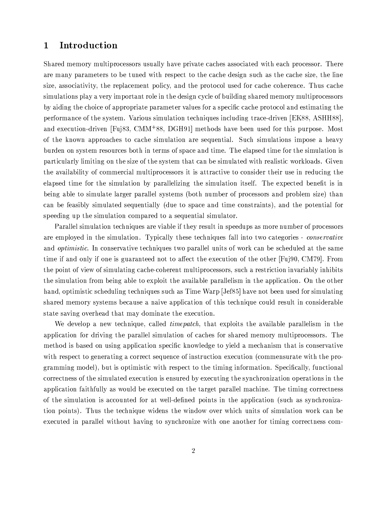#### $\mathbf 1$ Introduction

Shared memory multiprocessors usually have private caches associated with each processor. There are many parameters to be tuned with respect to the cache design such as the cache size, the line size, associativity, the replacement policy, and the protocol used for cache coherence. Thus cache simulations play a very important role in the design cycle of building shared memory multiprocessors by aiding the choice of appropriate parameter values for a specific cache protocol and estimating the performance of the system. Various simulation techniques including trace-driven [EK88, ASHH88], and execution-driven [Fuj83, CMM<sup>+88</sup>, DGH91] methods have been used for this purpose. Most of the known approaches to cache simulation are sequential. Such simulations impose a heavy burden on system resources both in terms of space and time. The elapsed time for the simulation is particularly limiting on the size of the system that can be simulated with realistic workloads. Given the availability of commercial multiprocessors it is attractive to consider their use in reducing the elapsed time for the simulation by parallelizing the simulation itself. The expected benefit is in being able to simulate larger parallel systems (both number of processors and problem size) than can be feasibly simulated sequentially (due to space and time constraints), and the potential for speeding up the simulation compared to a sequential simulator.

Parallel simulation techniques are viable if they result in speedups as more number of processors are employed in the simulation. Typically these techniques fall into two categories - *conservative* and *optimistic*. In conservative techniques two parallel units of work can be scheduled at the same time if and only if one is guaranteed not to affect the execution of the other [Fuj90, CM79]. From the point of view of simulating cache-coherent multiprocessors, such a restriction invariably inhibits the simulation from being able to exploit the available parallelism in the application. On the other hand, optimistic scheduling techniques such as Time Warp [Jef85] have not been used for simulating shared memory systems because a naive application of this technique could result in considerable state saving overhead that may dominate the execution.

We develop a new technique, called *timepatch*, that exploits the available parallelism in the application for driving the parallel simulation of caches for shared memory multiprocessors. The method is based on using application specific knowledge to yield a mechanism that is conservative with respect to generating a correct sequence of instruction execution (commensurate with the programming model), but is optimistic with respect to the timing information. Specifically, functional correctness of the simulated execution is ensured by executing the synchronization operations in the application faithfully as would be executed on the target parallel machine. The timing correctness of the simulation is accounted for at well-defined points in the application (such as synchronization points). Thus the technique widens the window over which units of simulation work can be executed in parallel without having to synchronize with one another for timing correctness com-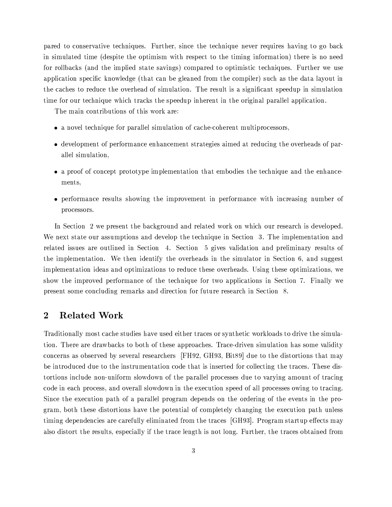pared to conservative techniques. Further, since the technique never requires having to go back in simulated time (despite the optimism with respect to the timing information) there is no need for rollbacks (and the implied state savings) compared to optimistic techniques. Further we use application specific knowledge (that can be gleaned from the compiler) such as the data layout in the caches to reduce the overhead of simulation. The result is a significant speedup in simulation time for our technique which tracks the speedup inherent in the original parallel application.

The main contributions of this work are:

- a novel technique for parallel simulation of cache-coherent multiprocessors.
- development of performance enhancement strategies aimed at reducing the overheads of parallel simulation,
- a proof of concept prototype implementation that embodies the technique and the enhancements.
- performance results showing the improvement in performance with increasing number of processors.

In Section 2 we present the background and related work on which our research is developed. We next state our assumptions and develop the technique in Section 3. The implementation and related issues are outlined in Section 4. Section 5 gives validation and preliminary results of the implementation. We then identify the overheads in the simulator in Section 6, and suggest implementation ideas and optimizations to reduce these overheads. Using these optimizations, we show the improved performance of the technique for two applications in Section 7. Finally we present some concluding remarks and direction for future research in Section 8.

#### $\overline{2}$ **Related Work**

Traditionally most cache studies have used either traces or synthetic workloads to drive the simulation. There are drawbacks to both of these approaches. Trace-driven simulation has some validity concerns as observed by several researchers [FH92, GH93, Bit89] due to the distortions that may be introduced due to the instrumentation code that is inserted for collecting the traces. These distortions include non-uniform slowdown of the parallel processes due to varying amount of tracing code in each process, and overall slowdown in the execution speed of all processes owing to tracing. Since the execution path of a parallel program depends on the ordering of the events in the program, both these distortions have the potential of completely changing the execution path unless timing dependencies are carefully eliminated from the traces [GH93]. Program startup effects may also distort the results, especially if the trace length is not long. Further, the traces obtained from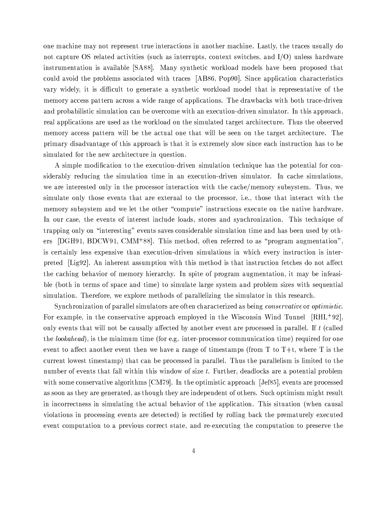one machine may not represent true interactions in another machine. Lastly, the traces usually do not capture OS related activities (such as interrupts, context switches, and I/O) unless hardware instrumentation is available [SA88]. Many synthetic workload models have been proposed that could avoid the problems associated with traces [AB86, Pop90]. Since application characteristics vary widely, it is difficult to generate a synthetic workload model that is representative of the memory access pattern across a wide range of applications. The drawbacks with both trace-driven and probabilistic simulation can be overcome with an execution-driven simulator. In this approach, real applications are used as the workload on the simulated target architecture. Thus the observed memory access pattern will be the actual one that will be seen on the target architecture. The primary disadvantage of this approach is that it is extremely slow since each instruction has to be simulated for the new architecture in question.

A simple modification to the execution-driven simulation technique has the potential for considerably reducing the simulation time in an execution-driven simulator. In cache simulations, we are interested only in the processor interaction with the cache/memory subsystem. Thus, we simulate only those events that are external to the processor, i.e., those that interact with the memory subsystem and we let the other "compute" instructions execute on the native hardware. In our case, the events of interest include loads, stores and synchronization. This technique of trapping only on "interesting" events saves considerable simulation time and has been used by others [DGH91, BDCW91, CMM<sup>+88</sup>]. This method, often referred to as "program augmentation", is certainly less expensive than execution-driven simulations in which every instruction is interpreted [Lig92]. An inherent assumption with this method is that instruction fetches do not affect the caching behavior of memory hierarchy. In spite of program augmentation, it may be infeasible (both in terms of space and time) to simulate large system and problem sizes with sequential simulation. Therefore, we explore methods of parallelizing the simulator in this research.

Synchronization of parallel simulators are often characterized as being *conservative* or *optimistic*. For example, in the conservative approach employed in the Wisconsin Wind Tunnel  $[RHL+92]$ , only events that will not be causally affected by another event are processed in parallel. If t (called the *lookahead*), is the minimum time (for e.g. inter-processor communication time) required for one event to affect another event then we have a range of timestamps (from T to T+t, where T is the current lowest timestamp) that can be processed in parallel. Thus the parallelism is limited to the number of events that fall within this window of size  $t$ . Further, deadlocks are a potential problem with some conservative algorithms [CM79]. In the optimistic approach [Jef85], events are processed as soon as they are generated, as though they are independent of others. Such optimism might result in incorrectness in simulating the actual behavior of the application. This situation (when causal violations in processing events are detected) is rectified by rolling back the prematurely executed event computation to a previous correct state, and re-executing the computation to preserve the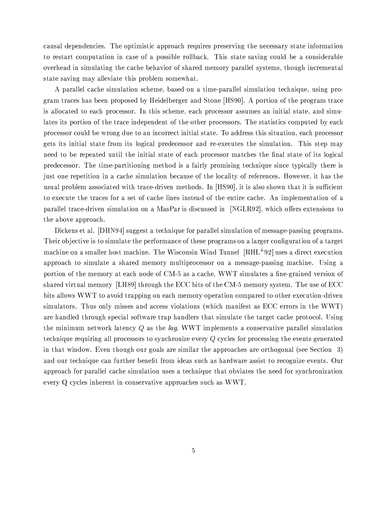causal dependencies. The optimistic approach requires preserving the necessary state information to restart computation in case of a possible rollback. This state saving could be a considerable overhead in simulating the cache behavior of shared memory parallel systems, though incremental state saving may alleviate this problem somewhat.

A parallel cache simulation scheme, based on a time-parallel simulation technique, using program traces has been proposed by Heidelberger and Stone [HS90]. A portion of the program trace is allocated to each processor. In this scheme, each processor assumes an initial state, and simulates its portion of the trace independent of the other processors. The statistics computed by each processor could be wrong due to an incorrect initial state. To address this situation, each processor gets its initial state from its logical predecessor and re-executes the simulation. This step may need to be repeated until the initial state of each processor matches the final state of its logical predecessor. The time-partitioning method is a fairly promising technique since typically there is just one repetition in a cache simulation because of the locality of references. However, it has the usual problem associated with trace-driven methods. In [HS90], it is also shown that it is sufficient to execute the traces for a set of cache lines instead of the entire cache. An implementation of a parallel trace-driven simulation on a MasPar is discussed in [NGLR92], which offers extensions to the above approach.

Dickens et al. [DHN94] suggest a technique for parallel simulation of message-passing programs. Their objective is to simulate the performance of these programs on a larger configuration of a target machine on a smaller host machine. The Wisconsin Wind Tunnel  $\left[ \mathrm{RHL}^{+}92\right]$  uses a direct execution approach to simulate a shared memory multiprocessor on a message-passing machine. Using a portion of the memory at each node of CM-5 as a cache, WWT simulates a fine-grained version of shared virtual memory [LH89] through the ECC bits of the CM-5 memory system. The use of ECC bits allows WWT to avoid trapping on each memory operation compared to other execution-driven simulators. Thus only misses and access violations (which manifest as ECC errors in the WWT) are handled through special software trap handlers that simulate the target cache protocol. Using the minimum network latency  $Q$  as the *lag*, WWT implements a conservative parallel simulation technique requiring all processors to synchronize every Q cycles for processing the events generated in that window. Even though our goals are similar the approaches are orthogonal (see Section 3) and our technique can further benefit from ideas such as hardware assist to recognize events. Our approach for parallel cache simulation uses a technique that obviates the need for synchronization every Q cycles inherent in conservative approaches such as WWT.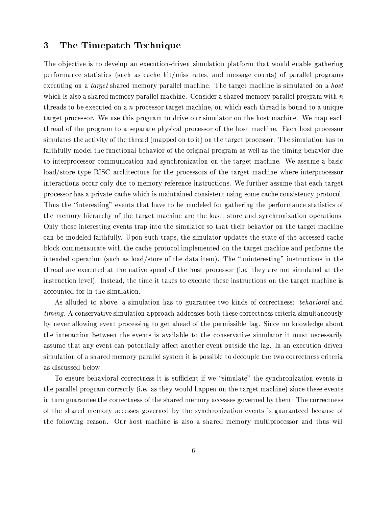#### 3 The Timepatch Technique

The objective is to develop an execution-driven simulation platform that would enable gathering performance statistics (such as cache hit/miss rates, and message counts) of parallel programs executing on a *target* shared memory parallel machine. The target machine is simulated on a *host* which is also a shared memory parallel machine. Consider a shared memory parallel program with  $n$ threads to be executed on a n processor target machine, on which each thread is bound to a unique target processor. We use this program to drive our simulator on the host machine. We map each thread of the program to a separate physical processor of the host machine. Each host processor simulates the activity of the thread (mapped on to it) on the target processor. The simulation has to faithfully model the functional behavior of the original program as well as the timing behavior due to interprocessor communication and synchronization on the target machine. We assume a basic load/store type RISC architecture for the processors of the target machine where interprocessor interactions occur only due to memory reference instructions. We further assume that each target processor has a private cache which is maintained consistent using some cache consistency protocol. Thus the "interesting" events that have to be modeled for gathering the performance statistics of the memory hierarchy of the target machine are the load, store and synchronization operations. Only these interesting events trap into the simulator so that their behavior on the target machine can be modeled faithfully. Upon such traps, the simulator updates the state of the accessed cache block commensurate with the cache protocol implemented on the target machine and performs the intended operation (such as load/store of the data item). The "uninteresting" instructions in the thread are executed at the native speed of the host processor (i.e. they are not simulated at the instruction level). Instead, the time it takes to execute these instructions on the target machine is accounted for in the simulation.

As alluded to above, a simulation has to guarantee two kinds of correctness: *behavioral* and *timing.* A conservative simulation approach addresses both these correctness criteria simultaneously by never allowing event processing to get ahead of the permissible lag. Since no knowledge about the interaction between the events is available to the conservative simulator it must necessarily assume that any event can potentially affect another event outside the lag. In an execution-driven simulation of a shared memory parallel system it is possible to decouple the two correctness criteria as discussed below.

To ensure behavioral correctness it is sufficient if we "simulate" the synchronization events in the parallel program correctly (i.e. as they would happen on the target machine) since these events in turn guarantee the correctness of the shared memory accesses governed by them. The correctness of the shared memory accesses governed by the synchronization events is guaranteed because of the following reason. Our host machine is also a shared memory multiprocessor and thus will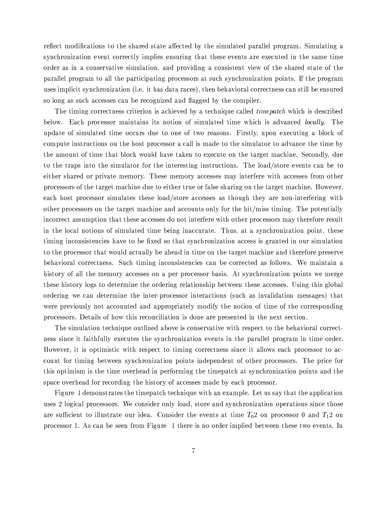reflect modifications to the shared state affected by the simulated parallel program. Simulating a synchronization event correctly implies ensuring that these events are executed in the same time order as in a conservative simulation, and providing a consistent view of the shared state of the parallel program to all the participating processors at such synchronization points. If the program uses implicit synchronization (i.e. it has data races), then behavioral correctness can still be ensured so long as such accesses can be recognized and flagged by the compiler.

The timing correctness criterion is achieved by a technique called *timepatch* which is described below. Each processor maintains its notion of simulated time which is advanced *locally*. The update of simulated time occurs due to one of two reasons. Firstly, upon executing a block of compute instructions on the host processor a call is made to the simulator to advance the time by the amount of time that block would have taken to execute on the target machine. Secondly, due to the traps into the simulator for the interesting instructions. The load/store events can be to either shared or private memory. These memory accesses may interfere with accesses from other processors of the target machine due to either true or false sharing on the target machine. However, each host processor simulates these load/store accesses as though they are non-interfering with other processors on the target machine and accounts only for the hit/miss timing. The potentially incorrect assumption that these accesses do not interfere with other processors may therefore result in the local notions of simulated time being inaccurate. Thus, at a synchronization point, these timing inconsistencies have to be fixed so that synchronization access is granted in our simulation to the processor that would actually be ahead in time on the target machine and therefore preserve behavioral correctness. Such timing inconsistencies can be corrected as follows. We maintain a history of all the memory accesses on a per processor basis. At synchronization points we merge these history logs to determine the ordering relationship between these accesses. Using this global ordering we can determine the inter-processor interactions (such as invalidation messages) that were previously not accounted and appropriately modify the notion of time of the corresponding processors. Details of how this reconciliation is done are presented in the next section.

The simulation technique outlined above is conservative with respect to the behavioral correctness since it faithfully executes the synchronization events in the parallel program in time order. However, it is optimistic with respect to timing correctness since it allows each processor to account for timing between synchronization points independent of other processors. The price for this optimism is the time overhead in performing the timepatch at synchronization points and the space overhead for recording the history of accesses made by each processor.

Figure 1 demonstrates the timepatch technique with an example. Let us say that the application uses 2 logical processors. We consider only load, store and synchronization operations since those are sufficient to illustrate our idea. Consider the events at time  $T_02$  on processor 0 and  $T_12$  on processor 1. As can be seen from Figure 1 there is no order implied between these two events. In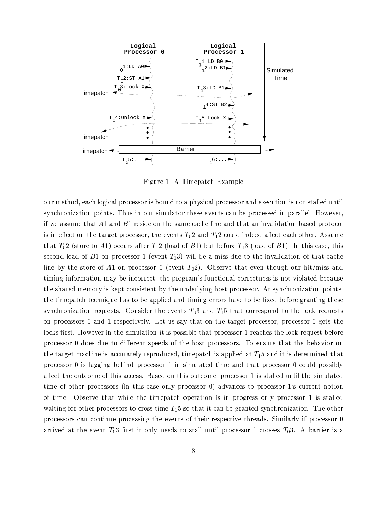

Figure 1: A Timepatch Example

our method, each logical processor is bound to a physical processor and execution is not stalled until synchronization points. Thus in our simulator these events can be processed in parallel. However, if we assume that  $A1$  and  $B1$  reside on the same cache line and that an invalidation-based protocol is in effect on the target processor, the events  $T_0$ 2 and  $T_1$ 2 could indeed affect each other. Assume that  $T_0$ 2 (store to A1) occurs after  $T_1$ 2 (load of B1) but before  $T_1$ 3 (load of B1). In this case, this second load of B1 on processor 1 (event  $T_1$ 3) will be a miss due to the invalidation of that cache line by the store of A1 on processor 0 (event  $T_0$ 2). Observe that even though our hit/miss and timing information may be incorrect, the program's functional correctness is not violated because the shared memory is kept consistent by the underlying host processor. At synchronization points, the timepatch technique has to be applied and timing errors have to be fixed before granting these synchronization requests. Consider the events  $T_0$  and  $T_1$ <sup>5</sup> that correspond to the lock requests on processors 0 and 1 respectively. Let us say that on the target processor, processor 0 gets the locks first. However in the simulation it is possible that processor 1 reaches the lock request before processor 0 does due to different speeds of the host processors. To ensure that the behavior on the target machine is accurately reproduced, timepatch is applied at  $T_1$ 5 and it is determined that processor  $\theta$  is lagging behind processor 1 in simulated time and that processor  $\theta$  could possibly affect the outcome of this access. Based on this outcome, processor 1 is stalled until the simulated time of other processors (in this case only processor 0) advances to processor 1's current notion of time. Observe that while the timepatch operation is in progress only processor 1 is stalled waiting for other processors to cross time  $T_15$  so that it can be granted synchronization. The other processors can continue processing the events of their respective threads. Similarly if processor 0 arrived at the event  $T_03$  first it only needs to stall until processor 1 crosses  $T_03$ . A barrier is a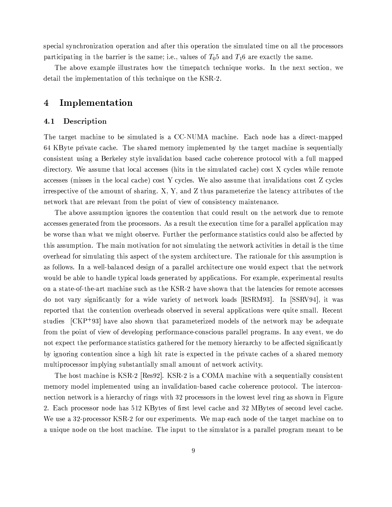special synchronization operation and after this operation the simulated time on all the processors participating in the barrier is the same; i.e., values of  $T_0$ 5 and  $T_1$ 6 are exactly the same.

The above example illustrates how the timepatch technique works. In the next section, we detail the implementation of this technique on the KSR-2.

#### Implementation 4

#### Description  $4.1$

The target machine to be simulated is a CC-NUMA machine. Each node has a direct-mapped 64 KByte private cache. The shared memory implemented by the target machine is sequentially consistent using a Berkeley style invalidation based cache coherence protocol with a full mapped directory. We assume that local accesses (hits in the simulated cache) cost X cycles while remote accesses (misses in the local cache) cost Y cycles. We also assume that invalidations cost Z cycles irrespective of the amount of sharing.  $X, Y$ , and  $Z$  thus parameterize the latency attributes of the network that are relevant from the point of view of consistency maintenance.

The above assumption ignores the contention that could result on the network due to remote accesses generated from the processors. As a result the execution time for a parallel application may be worse than what we might observe. Further the performance statistics could also be affected by this assumption. The main motivation for not simulating the network activities in detail is the time overhead for simulating this aspect of the system architecture. The rationale for this assumption is as follows. In a well-balanced design of a parallel architecture one would expect that the network would be able to handle typical loads generated by applications. For example, experimental results on a state-of-the-art machine such as the KSR-2 have shown that the latencies for remote accesses do not vary significantly for a wide variety of network loads [RSRM93]. In [SSRV94], it was reported that the contention overheads observed in several applications were quite small. Recent studies  $\left[CKP^{+}93\right]$  have also shown that parameterized models of the network may be adequate from the point of view of developing performance-conscious parallel programs. In any event, we do not expect the performance statistics gathered for the memory hierarchy to be affected significantly by ignoring contention since a high hit rate is expected in the private caches of a shared memory multiprocessor implying substantially small amount of network activity.

The host machine is KSR-2 [Res92]. KSR-2 is a COMA machine with a sequentially consistent memory model implemented using an invalidation-based cache coherence protocol. The interconnection network is a hierarchy of rings with 32 processors in the lowest level ring as shown in Figure 2. Each processor node has 512 KBytes of first level cache and 32 MBytes of second level cache. We use a 32-processor KSR-2 for our experiments. We map each node of the target machine on to a unique node on the host machine. The input to the simulator is a parallel program meant to be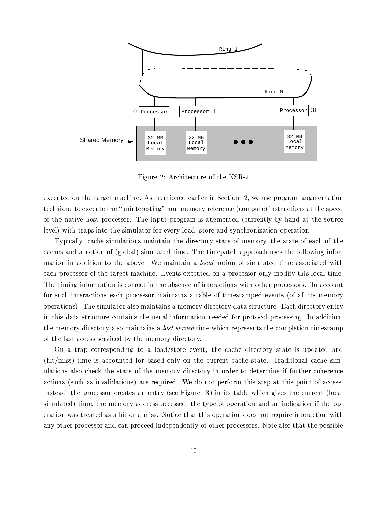

Figure 2: Architecture of the KSR-2

executed on the target machine. As mentioned earlier in Section 2, we use program augmentation technique to execute the "uninteresting" non-memory reference (compute) instructions at the speed of the native host processor. The input program is augmented (currently by hand at the source level) with traps into the simulator for every load, store and synchronization operation.

Typically, cache simulations maintain the directory state of memory, the state of each of the caches and a notion of (global) simulated time. The timepatch approach uses the following information in addition to the above. We maintain a *local* notion of simulated time associated with each processor of the target machine. Events executed on a processor only modify this local time. The timing information is correct in the absence of interactions with other processors. To account for such interactions each processor maintains a table of timestamped events (of all its memory operations). The simulator also maintains a memory directory data structure. Each directory entry in this data structure contains the usual information needed for protocol processing. In addition, the memory directory also maintains a *last served* time which represents the completion timestamp of the last access serviced by the memory directory.

On a trap corresponding to a load/store event, the cache directory state is updated and  $\text{(hit/miss)}$  time is accounted for based only on the current cache state. Traditional cache simulations also check the state of the memory directory in order to determine if further coherence actions (such as invalidations) are required. We do not perform this step at this point of access. Instead, the processor creates an entry (see Figure 3) in its table which gives the current (local simulated) time, the memory address accessed, the type of operation and an indication if the operation was treated as a hit or a miss. Notice that this operation does not require interaction with any other processor and can proceed independently of other processors. Note also that the possible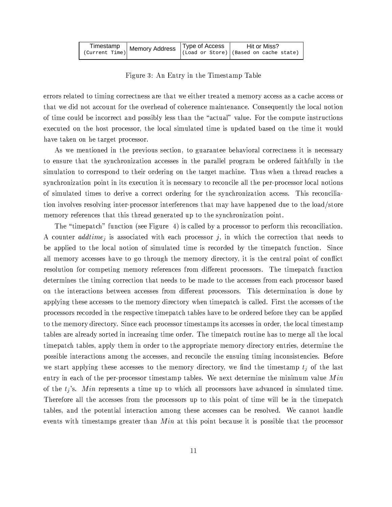|                | Timestamp $\vert$ Memory Address $\vert$ Type of Access |  | Hit or Miss? |                                                |  |
|----------------|---------------------------------------------------------|--|--------------|------------------------------------------------|--|
| (Current Time) |                                                         |  |              | $\vert$ (Load or Store) (Based on cache state) |  |

Figure 3: An Entry in the Timestamp Table

errors related to timing correctness are that we either treated a memory access as a cache access or that we did not account for the overhead of coherence maintenance. Consequently the local notion of time could be incorrect and possibly less than the "actual" value. For the compute instructions executed on the host processor, the local simulated time is updated based on the time it would have taken on he target processor.

As we mentioned in the previous section, to guarantee behavioral correctness it is necessary to ensure that the synchronization accesses in the parallel program be ordered faithfully in the simulation to correspond to their ordering on the target machine. Thus when a thread reaches a synchronization point in its execution it is necessary to reconcile all the per-processor local notions of simulated times to derive a correct ordering for the synchronization access. This reconciliation involves resolving inter-processor interferences that may have happened due to the load/store memory references that this thread generated up to the synchronization point.

The "timepatch" function (see Figure 4) is called by a processor to perform this reconciliation. A counter  $addtime_i$  is associated with each processor j, in which the correction that needs to be applied to the local notion of simulated time is recorded by the timepatch function. Since all memory accesses have to go through the memory directory, it is the central point of conflict resolution for competing memory references from different processors. The timepatch function determines the timing correction that needs to be made to the accesses from each processor based on the interactions between accesses from different processors. This determination is done by applying these accesses to the memory directory when timepatch is called. First the accesses of the processors recorded in the respective timepatch tables have to be ordered before they can be applied to the memory directory. Since each processor timestamps its accesses in order, the local timestamp tables are already sorted in increasing time order. The timepatch routine has to merge all the local timepatch tables, apply them in order to the appropriate memory directory entries, determine the possible interactions among the accesses, and reconcile the ensuing timing inconsistencies. Before we start applying these accesses to the memory directory, we find the timestamp  $t_i$  of the last entry in each of the per-processor timestamp tables. We next determine the minimum value  $Min$ of the  $t_j$ 's. Min represents a time up to which all processors have advanced in simulated time. Therefore all the accesses from the processors up to this point of time will be in the timepatch tables, and the potential interaction among these accesses can be resolved. We cannot handle events with timestamps greater than  $Min$  at this point because it is possible that the processor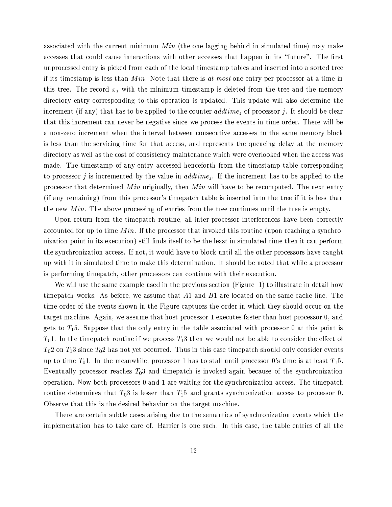associated with the current minimum  $Min$  (the one lagging behind in simulated time) may make accesses that could cause interactions with other accesses that happen in its "future". The first unprocessed entry is picked from each of the local timestamp tables and inserted into a sorted tree if its timestamp is less than  $Min$ . Note that there is at most one entry per processor at a time in this tree. The record  $x_i$  with the minimum timestamp is deleted from the tree and the memory directory entry corresponding to this operation is updated. This update will also determine the increment (if any) that has to be applied to the counter *addtime*; of processor j. It should be clear that this increment can never be negative since we process the events in time order. There will be a non-zero increment when the interval between consecutive accesses to the same memory block is less than the servicing time for that access, and represents the queueing delay at the memory directory as well as the cost of consistency maintenance which were overlooked when the access was made. The timestamp of any entry accessed henceforth from the timestamp table corresponding to processor j is incremented by the value in  $addtime_i$ . If the increment has to be applied to the processor that determined Min originally, then Min will have to be recomputed. The next entry (if any remaining) from this processor's timepatch table is inserted into the tree if it is less than the new  $Min$ . The above processing of entries from the tree continues until the tree is empty.

Upon return from the timepatch routine, all inter-processor interferences have been correctly accounted for up to time  $Min$ . If the processor that invoked this routine (upon reaching a synchronization point in its execution) still finds itself to be the least in simulated time then it can perform the synchronization access. If not, it would have to block until all the other processors have caught up with it in simulated time to make this determination. It should be noted that while a processor is performing timepatch, other processors can continue with their execution.

We will use the same example used in the previous section (Figure 1) to illustrate in detail how timepatch works. As before, we assume that  $A1$  and  $B1$  are located on the same cache line. The time order of the events shown in the Figure captures the order in which they should occur on the target machine. Again, we assume that host processor 1 executes faster than host processor 0, and gets to  $T_1$ 5. Suppose that the only entry in the table associated with processor 0 at this point is  $T_0$ 1. In the timepatch routine if we process  $T_1$ 3 then we would not be able to consider the effect of  $T_0$ 2 on  $T_1$ 3 since  $T_0$ 2 has not yet occurred. Thus in this case timepatch should only consider events up to time  $T_01$ . In the meanwhile, processor 1 has to stall until processor 0's time is at least  $T_15$ . Eventually processor reaches  $T_03$  and timepatch is invoked again because of the synchronization operation. Now both processors 0 and 1 are waiting for the synchronization access. The timepatch routine determines that  $T_03$  is lesser than  $T_15$  and grants synchronization access to processor 0. Observe that this is the desired behavior on the target machine.

There are certain subtle cases arising due to the semantics of synchronization events which the implementation has to take care of. Barrier is one such. In this case, the table entries of all the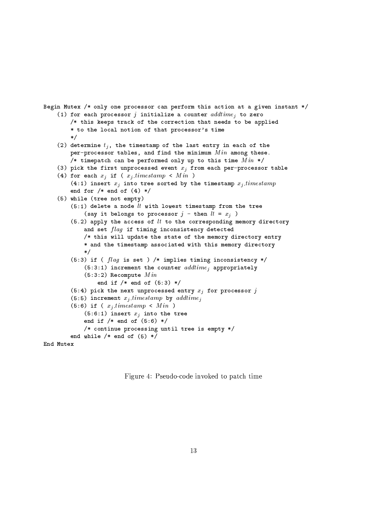```
Begin Mutex /* only one processor can perform this action at a given instant */
(1) for each processor j initialize a counter addtime_i to zero
    /* this keeps track of the correction that needs to be applied
    * to the local notion of that processor's time
    \ast/(2) determine t_j, the timestamp of the last entry in each of the
    per-processor tables, and find the minimum Min among these.
    /* timepatch can be performed only up to this time Min */
(3) pick the first unprocessed event x_j from each per-processor table
(4) for each x_j if (x_j timestamp < Min)
    (4:1) insert x_j into tree sorted by the timestamp x_j timestamp
    end for /* end of (4) */
(5) while (tree not empty)
    (5:1) delete a node lt with lowest timestamp from the tree
        (say it belongs to processor j - then lt = x_j)
    (5.2) apply the access of lt to the corresponding memory directory
        and set flag if timing inconsistency detected
        /* this will update the state of the memory directory entry
        * and the timestamp associated with this memory directory
        \ast /
    (5:3) if ( flag is set ) /* implies timing inconsistency */
        (5:3:1) increment the counter addtime_i appropriately
        (5:3:2) Recompute Minend if /* end of (5:3) */(5:4) pick the next unprocessed entry x_j for processor j
    (5:5) increment x_j timestamp by addtime;
    (5:6) if (x_i. timestamp < Min)(5:6:1) insert x_j into the tree
        end if /* end of (5:6) */
        /* continue processing until tree is empty */
    end while /* end of (5) */
```

```
End Mutex
```
Figure 4: Pseudo-code invoked to patch time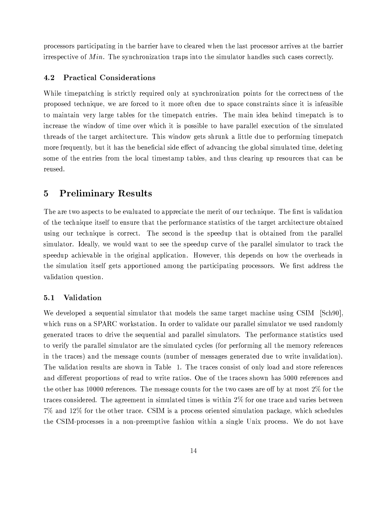processors participating in the barrier have to cleared when the last processor arrives at the barrier irrespective of  $Min$ . The synchronization traps into the simulator handles such cases correctly.

#### $4.2$ **Practical Considerations**

While timepatching is strictly required only at synchronization points for the correctness of the proposed technique, we are forced to it more often due to space constraints since it is infeasible to maintain very large tables for the timepatch entries. The main idea behind timepatch is to increase the window of time over which it is possible to have parallel execution of the simulated threads of the target architecture. This window gets shrunk a little due to performing timepatch more frequently, but it has the beneficial side effect of advancing the global simulated time, deleting some of the entries from the local timestamp tables, and thus clearing up resources that can be reused.

#### $\mathbf{5}$ **Preliminary Results**

The are two aspects to be evaluated to appreciate the merit of our technique. The first is validation of the technique itself to ensure that the performance statistics of the target architecture obtained using our technique is correct. The second is the speedup that is obtained from the parallel simulator. Ideally, we would want to see the speedup curve of the parallel simulator to track the speedup achievable in the original application. However, this depends on how the overheads in the simulation itself gets apportioned among the participating processors. We first address the validation question.

#### Validation  $5.1$

We developed a sequential simulator that models the same target machine using CSIM [Sch90], which runs on a SPARC workstation. In order to validate our parallel simulator we used randomly generated traces to drive the sequential and parallel simulators. The performance statistics used to verify the parallel simulator are the simulated cycles (for performing all the memory references in the traces) and the message counts (number of messages generated due to write invalidation). The validation results are shown in Table 1. The traces consist of only load and store references and different proportions of read to write ratios. One of the traces shown has 5000 references and the other has 10000 references. The message counts for the two cases are off by at most  $2\%$  for the traces considered. The agreement in simulated times is within 2% for one trace and varies between 7% and 12% for the other trace. CSIM is a process oriented simulation package, which schedules the CSIM-processes in a non-preemptive fashion within a single Unix process. We do not have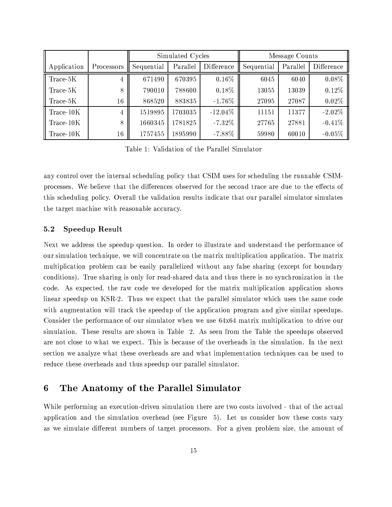|             |            | Simulated Cycles |          |            | Message Counts |          |            |  |
|-------------|------------|------------------|----------|------------|----------------|----------|------------|--|
| Application | Processors | Sequential       | Parallel | Difference | Sequential     | Parallel | Difference |  |
| Trace-5K    | 4          | 671490           | 670395   | $0.16\%$   | 6045           | 6040     | $0.08\%$   |  |
| Trace-5K    | 8          | 790010           | 788600   | $0.18\%$   | 13055          | 13039    | $0.12\%$   |  |
| Trace-5K    | $16\,$     | 868520           | 883835   | $-1.76\%$  | 27095          | 27087    | $0.02\%$   |  |
| Trace-10K   | 4          | 1519895          | 1703035  | $-12.04\%$ | 11151          | 11377    | $-2.02\%$  |  |
| Trace-10K   | 8          | 1660345          | 1781825  | $-7.32\%$  | 27765          | 27881    | $-0.41%$   |  |
| Trace-10K   | $16\,$     | 1757455          | 1895990  | $-7.88\%$  | 59980          | 60010    | $-0.05\%$  |  |

Table 1: Validation of the Parallel Simulator

any control over the internal scheduling policy that CSIM uses for scheduling the runnable CSIMprocesses. We believe that the differences observed for the second trace are due to the effects of this scheduling policy. Overall the validation results indicate that our parallel simulator simulates the target machine with reasonable accuracy.

#### **Speedup Result**  $5.2$

Next we address the speedup question. In order to illustrate and understand the performance of our simulation technique, we will concentrate on the matrix multiplication application. The matrix multiplication problem can be easily parallelized without any false sharing (except for boundary conditions). True sharing is only for read-shared data and thus there is no synchronization in the code. As expected, the raw code we developed for the matrix multiplication application shows linear speedup on KSR-2. Thus we expect that the parallel simulator which uses the same code with augmentation will track the speedup of the application program and give similar speedups. Consider the performance of our simulator when we use 64x64 matrix multiplication to drive our simulation. These results are shown in Table 2. As seen from the Table the speedups observed are not close to what we expect. This is because of the overheads in the simulation. In the next section we analyze what these overheads are and what implementation techniques can be used to reduce these overheads and thus speedup our parallel simulator.

#### The Anatomy of the Parallel Simulator 6

While performing an execution-driven simulation there are two costs involved - that of the actual application and the simulation overhead (see Figure 5). Let us consider how these costs vary as we simulate different numbers of target processors. For a given problem size, the amount of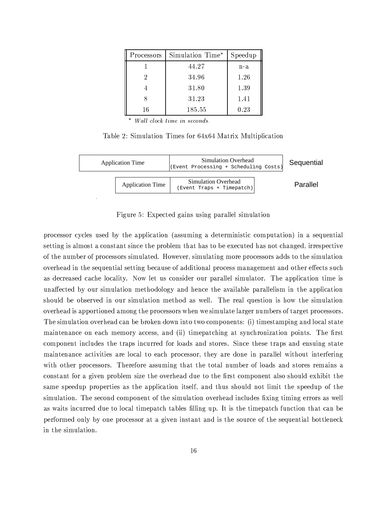| Processors | Simulation Time* | Speedup |
|------------|------------------|---------|
|            | 44.27            | n-a     |
| 2          | 34.96            | 1.26    |
|            | 31.80            | 1.39    |
|            | 31.23            | 1.41    |
| 16         | 185.55           | 0.23    |

\* Wall clock time in seconds.

Table 2: Simulation Times for 64x64 Matrix Multiplication



Figure 5: Expected gains using parallel simulation

processor cycles used by the application (assuming a deterministic computation) in a sequential setting is almost a constant since the problem that has to be executed has not changed, irrespective of the number of processors simulated. However, simulating more processors adds to the simulation overhead in the sequential setting because of additional process management and other effects such as decreased cache locality. Now let us consider our parallel simulator. The application time is unaffected by our simulation methodology and hence the available parallelism in the application should be observed in our simulation method as well. The real question is how the simulation overhead is apportioned among the processors when we simulate larger numbers of target processors. The simulation overhead can be broken down into two components: (i) timestamping and local state maintenance on each memory access, and (ii) timepatching at synchronization points. The first component includes the traps incurred for loads and stores. Since these traps and ensuing state maintenance activities are local to each processor, they are done in parallel without interfering with other processors. Therefore assuming that the total number of loads and stores remains a constant for a given problem size the overhead due to the first component also should exhibit the same speedup properties as the application itself, and thus should not limit the speedup of the simulation. The second component of the simulation overhead includes fixing timing errors as well as waits incurred due to local timepatch tables filling up. It is the timepatch function that can be performed only by one processor at a given instant and is the source of the sequential bottleneck in the simulation.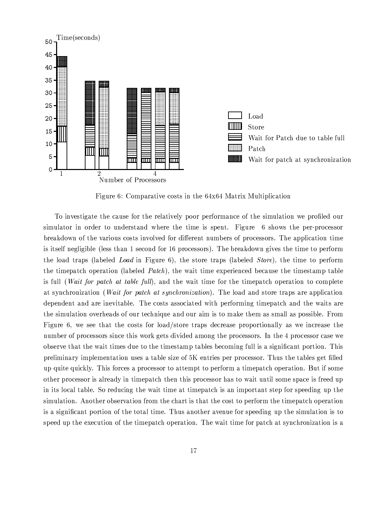

Figure 6: Comparative costs in the 64x64 Matrix Multiplication

To investigate the cause for the relatively poor performance of the simulation we profiled our simulator in order to understand where the time is spent. Figure 6 shows the per-processor breakdown of the various costs involved for different numbers of processors. The application time is itself negligible (less than 1 second for 16 processors). The breakdown gives the time to perform the load traps (labeled Load in Figure 6), the store traps (labeled Store), the time to perform the timepatch operation (labeled *Patch*), the wait time experienced because the timestamp table is full (*Wait for patch at table full*), and the wait time for the timepatch operation to complete at synchronization (*Wait for patch at synchronization*). The load and store traps are application dependent and are inevitable. The costs associated with performing timepatch and the waits are the simulation overheads of our technique and our aim is to make them as small as possible. From Figure 6, we see that the costs for load/store traps decrease proportionally as we increase the number of processors since this work gets divided among the processors. In the 4 processor case we observe that the wait times due to the timestamp tables becoming full is a significant portion. This preliminary implementation uses a table size of 5K entries per processor. Thus the tables get filled up quite quickly. This forces a processor to attempt to perform a timepatch operation. But if some other processor is already in timepatch then this processor has to wait until some space is freed up in its local table. So reducing the wait time at timepatch is an important step for speeding up the simulation. Another observation from the chart is that the cost to perform the timepatch operation is a significant portion of the total time. Thus another avenue for speeding up the simulation is to speed up the execution of the timepatch operation. The wait time for patch at synchronization is a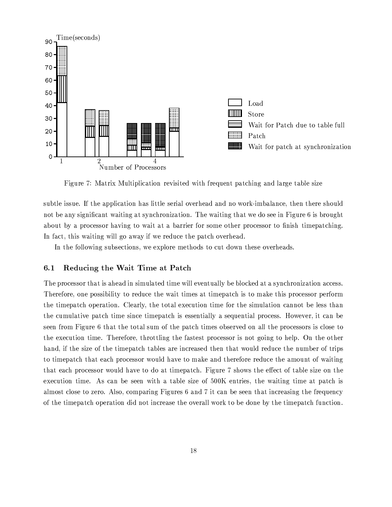

Figure 7: Matrix Multiplication revisited with frequent patching and large table size

subtle issue. If the application has little serial overhead and no work-imbalance, then there should not be any significant waiting at synchronization. The waiting that we do see in Figure 6 is brought about by a processor having to wait at a barrier for some other processor to finish timepatching. In fact, this waiting will go away if we reduce the patch overhead.

In the following subsections, we explore methods to cut down these overheads.

#### Reducing the Wait Time at Patch  $6.1$

The processor that is ahead in simulated time will eventually be blocked at a synchronization access. Therefore, one possibility to reduce the wait times at timepatch is to make this processor perform the timepatch operation. Clearly, the total execution time for the simulation cannot be less than the cumulative patch time since timepatch is essentially a sequential process. However, it can be seen from Figure 6 that the total sum of the patch times observed on all the processors is close to the execution time. Therefore, throttling the fastest processor is not going to help. On the other hand, if the size of the timepatch tables are increased then that would reduce the number of trips to timepatch that each processor would have to make and therefore reduce the amount of waiting that each processor would have to do at timepatch. Figure 7 shows the effect of table size on the execution time. As can be seen with a table size of 500K entries, the waiting time at patch is almost close to zero. Also, comparing Figures 6 and 7 it can be seen that increasing the frequency of the timepatch operation did not increase the overall work to be done by the timepatch function.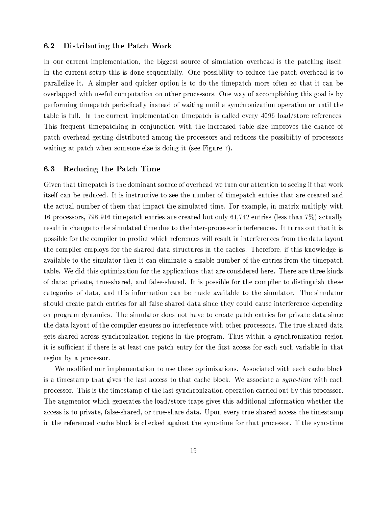#### $6.2$ Distributing the Patch Work

In our current implementation, the biggest source of simulation overhead is the patching itself. In the current setup this is done sequentially. One possibility to reduce the patch overhead is to parallelize it. A simpler and quicker option is to do the timepatch more often so that it can be overlapped with useful computation on other processors. One way of accomplishing this goal is by performing timepatch periodically instead of waiting until a synchronization operation or until the table is full. In the current implementation timepatch is called every 4096 load/store references. This frequent timepatching in conjunction with the increased table size improves the chance of patch overhead getting distributed among the processors and reduces the possibility of processors waiting at patch when someone else is doing it (see Figure 7).

#### $6.3$ Reducing the Patch Time

Given that timepatch is the dominant source of overhead we turn our attention to seeing if that work itself can be reduced. It is instructive to see the number of timepatch entries that are created and the actual number of them that impact the simulated time. For example, in matrix multiply with 16 processors, 798,916 timepatch entries are created but only 61,742 entries (less than  $7\%$ ) actually result in change to the simulated time due to the inter-processor interferences. It turns out that it is possible for the compiler to predict which references will result in interferences from the data layout the compiler employs for the shared data structures in the caches. Therefore, if this knowledge is available to the simulator then it can eliminate a sizable number of the entries from the timepatch table. We did this optimization for the applications that are considered here. There are three kinds of data: private, true-shared, and false-shared. It is possible for the compiler to distinguish these categories of data, and this information can be made available to the simulator. The simulator should create patch entries for all false-shared data since they could cause interference depending on program dynamics. The simulator does not have to create patch entries for private data since the data layout of the compiler ensures no interference with other processors. The true shared data gets shared across synchronization regions in the program. Thus within a synchronization region it is sufficient if there is at least one patch entry for the first access for each such variable in that region by a processor.

We modified our implementation to use these optimizations. Associated with each cache block is a timestamp that gives the last access to that cache block. We associate a sync-time with each processor. This is the timestamp of the last synchronization operation carried out by this processor. The augmentor which generates the load/store traps gives this additional information whether the access is to private, false-shared, or true-share data. Upon every true shared access the timestamp in the referenced cache block is checked against the sync-time for that processor. If the sync-time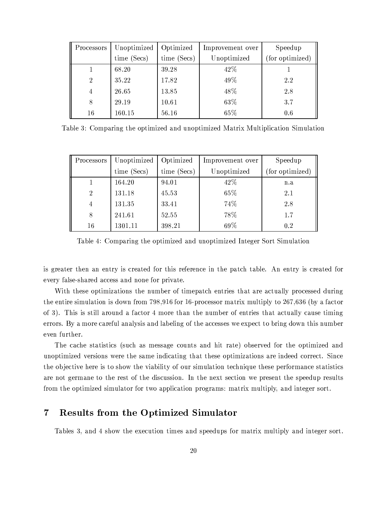| Processors     | Unoptimized | Optimized   | Improvement over | Speedup         |  |
|----------------|-------------|-------------|------------------|-----------------|--|
|                | time (Secs) | time (Secs) | Unoptimized      | (for optimized) |  |
|                | 68.20       | 39.28       | 42\%             |                 |  |
| $\overline{2}$ | 35.22       | 17.82       | 49%              | 2.2             |  |
| 4              | 26.65       | 13.85       | 48%              | 2.8             |  |
| 8              | 29.19       | 10.61       | 63%              | 3.7             |  |
| 16             | 160.15      | 56.16       | 65%              | 0.6             |  |

Table 3: Comparing the optimized and unoptimized Matrix Multiplication Simulation

| Processors     | Unoptimized | Optimized   | Improvement over | Speedup         |  |
|----------------|-------------|-------------|------------------|-----------------|--|
|                | time (Secs) | time (Secs) | Unoptimized      | (for optimized) |  |
|                | 164.20      | 94.01       | 42\%             | n.a             |  |
| $\overline{2}$ | 131.18      | 45.53       | 65%              | 2.1             |  |
| 4              | 131.35      | 33.41       | 74%              | 2.8             |  |
| 8              | 241.61      | 52.55       | 78%              | 1.7             |  |
| 16             | 1301.11     | 398.21      | 69%              | 0.2             |  |

Table 4: Comparing the optimized and unoptimized Integer Sort Simulation

is greater then an entry is created for this reference in the patch table. An entry is created for every false-shared access and none for private.

With these optimizations the number of timepatch entries that are actually processed during the entire simulation is down from  $798,916$  for 16-processor matrix multiply to  $267,636$  (by a factor of 3). This is still around a factor 4 more than the number of entries that actually cause timing errors. By a more careful analysis and labeling of the accesses we expect to bring down this number even further.

The cache statistics (such as message counts and hit rate) observed for the optimized and unoptimized versions were the same indicating that these optimizations are indeed correct. Since the objective here is to show the viability of our simulation technique these performance statistics are not germane to the rest of the discussion. In the next section we present the speedup results from the optimized simulator for two application programs: matrix multiply, and integer sort.

#### **Results from the Optimized Simulator**  $\bf 7$

Tables 3, and 4 show the execution times and speedups for matrix multiply and integer sort.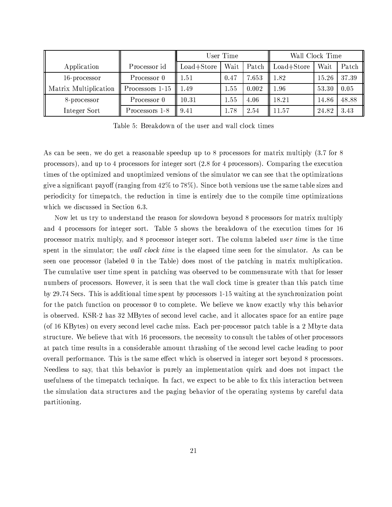|                       |                 | User Time      |      |       | Wall Clock Time |       |       |
|-----------------------|-----------------|----------------|------|-------|-----------------|-------|-------|
| Application           | Processor id    | $Load + Store$ | Wait | Patch | $Load + Store$  | Wait  | Patch |
| 16-processor          | Processor 0     | . 51           | 0.47 | 7.653 | 1.82            | 15.26 | 37.39 |
| Matrix Multiplication | Processors 1-15 | .49            | 1.55 | 0.002 | 1.96            | 53.30 | 0.05  |
| 8-processor           | Processor 0     | $10.31\,$      | 1.55 | 4.06  | 18.21           | 14.86 | 48.88 |
| Integer Sort          | Processors 1-8  | 9.41           | 1.78 | 2.54  | 11.57           | 24.82 | 3.43  |

Table 5: Breakdown of the user and wall clock times

As can be seen, we do get a reasonable speedup up to 8 processors for matrix multiply (3.7 for 8 processors), and up to 4 processors for integer sort (2.8 for 4 processors). Comparing the execution times of the optimized and unoptimized versions of the simulator we can see that the optimizations give a significant payoff (ranging from  $42\%$  to 78%). Since both versions use the same table sizes and periodicity for timepatch, the reduction in time is entirely due to the compile time optimizations which we discussed in Section 6.3.

Now let us try to understand the reason for slowdown beyond 8 processors for matrix multiply and 4 processors for integer sort. Table 5 shows the breakdown of the execution times for 16 processor matrix multiply, and 8 processor integer sort. The column labeled *user time* is the time spent in the simulator; the *wall clock time* is the elapsed time seen for the simulator. As can be seen one processor (labeled 0 in the Table) does most of the patching in matrix multiplication. The cumulative user time spent in patching was observed to be commensurate with that for lesser numbers of processors. However, it is seen that the wall clock time is greater than this patch time by 29.74 Secs. This is additional time spent by processors 1-15 waiting at the synchronization point for the patch function on processor 0 to complete. We believe we know exactly why this behavior is observed. KSR-2 has 32 MBytes of second level cache, and it allocates space for an entire page (of 16 KBytes) on every second level cache miss. Each per-processor patch table is a 2 Mbyte data structure. We believe that with 16 processors, the necessity to consult the tables of other processors at patch time results in a considerable amount thrashing of the second level cache leading to poor overall performance. This is the same effect which is observed in integer sort beyond 8 processors. Needless to say, that this behavior is purely an implementation quirk and does not impact the usefulness of the timepatch technique. In fact, we expect to be able to fix this interaction between the simulation data structures and the paging behavior of the operating systems by careful data partitioning.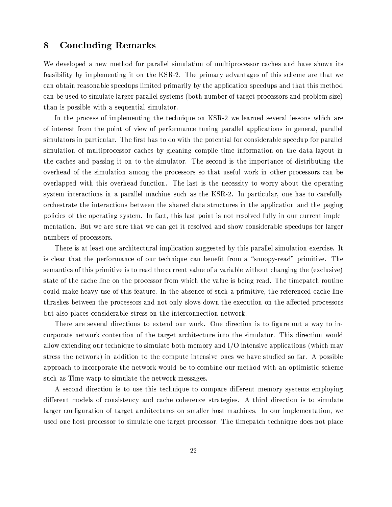#### 8 **Concluding Remarks**

We developed a new method for parallel simulation of multiprocessor caches and have shown its feasibility by implementing it on the KSR-2. The primary advantages of this scheme are that we can obtain reasonable speedups limited primarily by the application speedups and that this method can be used to simulate larger parallel systems (both number of target processors and problem size) than is possible with a sequential simulator.

In the process of implementing the technique on KSR-2 we learned several lessons which are of interest from the point of view of performance tuning parallel applications in general, parallel simulators in particular. The first has to do with the potential for considerable speedup for parallel simulation of multiprocessor caches by gleaning compile time information on the data layout in the caches and passing it on to the simulator. The second is the importance of distributing the overhead of the simulation among the processors so that useful work in other processors can be overlapped with this overhead function. The last is the necessity to worry about the operating system interactions in a parallel machine such as the KSR-2. In particular, one has to carefully orchestrate the interactions between the shared data structures in the application and the paging policies of the operating system. In fact, this last point is not resolved fully in our current implementation. But we are sure that we can get it resolved and show considerable speedups for larger numbers of processors.

There is at least one architectural implication suggested by this parallel simulation exercise. It is clear that the performance of our technique can benefit from a "snoopy-read" primitive. The semantics of this primitive is to read the current value of a variable without changing the (exclusive) state of the cache line on the processor from which the value is being read. The timepatch routine could make heavy use of this feature. In the absence of such a primitive, the referenced cache line thrashes between the processors and not only slows down the execution on the affected processors but also places considerable stress on the interconnection network.

There are several directions to extend our work. One direction is to figure out a way to incorporate network contention of the target architecture into the simulator. This direction would allow extending our technique to simulate both memory and I/O intensive applications (which may stress the network) in addition to the compute intensive ones we have studied so far. A possible approach to incorporate the network would be to combine our method with an optimistic scheme such as Time warp to simulate the network messages.

A second direction is to use this technique to compare different memory systems employing different models of consistency and cache coherence strategies. A third direction is to simulate larger configuration of target architectures on smaller host machines. In our implementation, we used one host processor to simulate one target processor. The timepatch technique does not place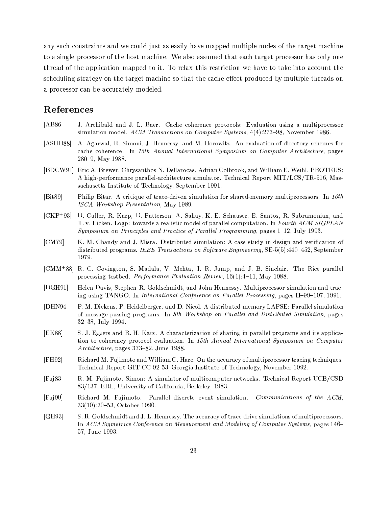any such constraints and we could just as easily have mapped multiple nodes of the target machine to a single processor of the host machine. We also assumed that each target processor has only one thread of the application mapped to it. To relax this restriction we have to take into account the scheduling strategy on the target machine so that the cache effect produced by multiple threads on a processor can be accurately modeled.

# References

- $[AB86]$ J. Archibald and J. L. Baer. Cache coherence protocols: Evaluation using a multiprocessor simulation model. ACM Transactions on Computer Systems, 4(4):273-98, November 1986.
- $[ASHH88]$ A. Agarwal, R. Simoni, J. Hennessy, and M. Horowitz. An evaluation of directory schemes for cache coherence. In 15th Annual International Symposium on Computer Architecture, pages 280-9, May 1988.
- [BDCW91] Eric A. Brewer, Chrysanthos N. Dellarocas, Adrian Colbrook, and William E. Weihl. PROTEUS: A high-performance parallel-architecture simulator. Technical Report MIT/LCS/TR-516, Massachusetts Institute of Technology, September 1991.
- $[Bit89]$ Philip Bitar. A critique of trace-driven simulation for shared-memory multiprocessors. In 16th ISCA Workshop Presentation, May 1989.
- $[CHP+93]$ D. Culler, R. Karp, D. Patterson, A. Sahay, K. E. Schauser, E. Santos, R. Subramonian, and T. v. Eicken. Logp: towards a realistic model of parallel computation. In Fourth ACM SIGPLAN Symposium on Principles and Practice of Parallel Programming, pages 1-12, July 1993.
- $[CM79]$ K. M. Chandy and J. Misra. Distributed simulation: A case study in design and verification of distributed programs. IEEE Transactions on Software Engineering, SE-5(5):440-452, September 1979.
- [CMM<sup>+88]</sup> R. C. Covington, S. Madala, V. Mehta, J. R. Jump, and J. B. Sinclair. The Rice parallel processing testbed. *Performance Evaluation Review*,  $16(1):4-11$ , May 1988.
- $[DGH91]$ Helen Davis, Stephen R. Goldschmidt, and John Hennessy. Multiprocessor simulation and tracing using TANGO. In International Conference on Parallel Processing, pages II-99-107, 1991.
- $[DHN94]$ P. M. Dickens, P. Heidelberger, and D. Nicol. A distributed memory LAPSE: Parallel simulation of message passing programs. In 8th Workshop on Parallel and Distributed Simulation, pages 32-38, July 1994.
- [EK88] S. J. Eggers and R. H. Katz. A characterization of sharing in parallel programs and its application to coherency protocol evaluation. In 15th Annual International Symposium on Computer Architecture, pages 373-82, June 1988.
- $[FH92]$ Richard M. Fujimoto and William C. Hare. On the accuracy of multiprocessor tracing techniques. Technical Report GIT-CC-92-53, Georgia Institute of Technology, November 1992.
- $[Fuj83]$ R. M. Fujimoto. Simon: A simulator of multicomputer networks. Technical Report UCB/CSD 83/137, ERL, University of California, Berkeley, 1983.
- Richard M. Fujimoto. Parallel discrete event simulation. Communications of the ACM,  $[Fuj90]$  $33(10):30-53$ , October 1990.
- $[GH93]$ S. R. Goldschmidt and J. L. Hennessy. The accuracy of trace-drive simulations of multiprocessors. In ACM Sigmetrics Conference on Measurement and Modeling of Computer Systems, pages 146– 57, June 1993.